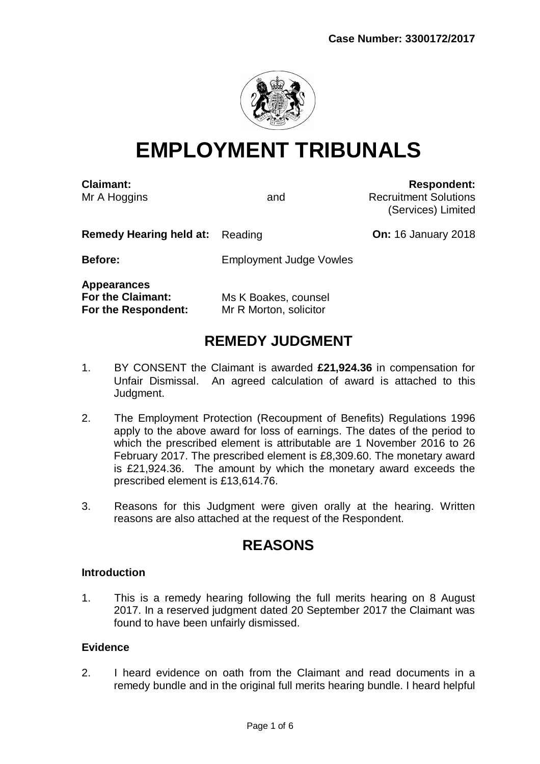

# **EMPLOYMENT TRIBUNALS**

**Claimant: Respondent:** Mr A Hoggins **A** Note 2008 and Recruitment Solutions (Services) Limited

**Remedy Hearing held at:** Reading **CONS CONS On:** 16 January 2018

**Before:** Employment Judge Vowles

**Appearances For the Claimant:** Ms K Boakes, counsel **For the Respondent:** Mr R Morton, solicitor

# **REMEDY JUDGMENT**

- 1. BY CONSENT the Claimant is awarded **£21,924.36** in compensation for Unfair Dismissal. An agreed calculation of award is attached to this Judgment.
- 2. The Employment Protection (Recoupment of Benefits) Regulations 1996 apply to the above award for loss of earnings. The dates of the period to which the prescribed element is attributable are 1 November 2016 to 26 February 2017. The prescribed element is £8,309.60. The monetary award is £21,924.36. The amount by which the monetary award exceeds the prescribed element is £13,614.76.
- 3. Reasons for this Judgment were given orally at the hearing. Written reasons are also attached at the request of the Respondent.

# **REASONS**

# **Introduction**

1. This is a remedy hearing following the full merits hearing on 8 August 2017. In a reserved judgment dated 20 September 2017 the Claimant was found to have been unfairly dismissed.

# **Evidence**

2. I heard evidence on oath from the Claimant and read documents in a remedy bundle and in the original full merits hearing bundle. I heard helpful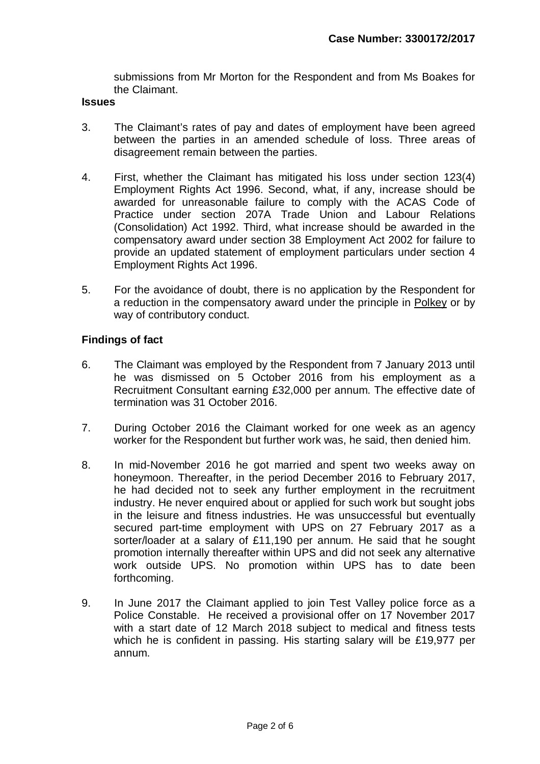submissions from Mr Morton for the Respondent and from Ms Boakes for the Claimant.

#### **Issues**

- 3. The Claimant's rates of pay and dates of employment have been agreed between the parties in an amended schedule of loss. Three areas of disagreement remain between the parties.
- 4. First, whether the Claimant has mitigated his loss under section 123(4) Employment Rights Act 1996. Second, what, if any, increase should be awarded for unreasonable failure to comply with the ACAS Code of Practice under section 207A Trade Union and Labour Relations (Consolidation) Act 1992. Third, what increase should be awarded in the compensatory award under section 38 Employment Act 2002 for failure to provide an updated statement of employment particulars under section 4 Employment Rights Act 1996.
- 5. For the avoidance of doubt, there is no application by the Respondent for a reduction in the compensatory award under the principle in Polkey or by way of contributory conduct.

### **Findings of fact**

- 6. The Claimant was employed by the Respondent from 7 January 2013 until he was dismissed on 5 October 2016 from his employment as a Recruitment Consultant earning £32,000 per annum. The effective date of termination was 31 October 2016.
- 7. During October 2016 the Claimant worked for one week as an agency worker for the Respondent but further work was, he said, then denied him.
- 8. In mid-November 2016 he got married and spent two weeks away on honeymoon. Thereafter, in the period December 2016 to February 2017, he had decided not to seek any further employment in the recruitment industry. He never enquired about or applied for such work but sought jobs in the leisure and fitness industries. He was unsuccessful but eventually secured part-time employment with UPS on 27 February 2017 as a sorter/loader at a salary of £11,190 per annum. He said that he sought promotion internally thereafter within UPS and did not seek any alternative work outside UPS. No promotion within UPS has to date been forthcoming.
- 9. In June 2017 the Claimant applied to join Test Valley police force as a Police Constable. He received a provisional offer on 17 November 2017 with a start date of 12 March 2018 subject to medical and fitness tests which he is confident in passing. His starting salary will be £19,977 per annum.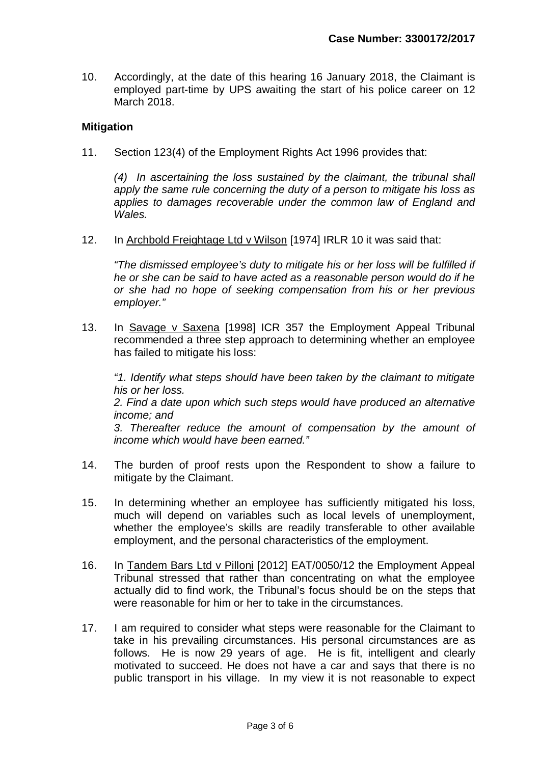10. Accordingly, at the date of this hearing 16 January 2018, the Claimant is employed part-time by UPS awaiting the start of his police career on 12 March 2018.

### **Mitigation**

11. Section 123(4) of the Employment Rights Act 1996 provides that:

*(4) In ascertaining the loss sustained by the claimant, the tribunal shall apply the same rule concerning the duty of a person to mitigate his loss as applies to damages recoverable under the common law of England and Wales.*

12. In Archbold Freightage Ltd v Wilson [1974] IRLR 10 it was said that:

*"The dismissed employee's duty to mitigate his or her loss will be fulfilled if he or she can be said to have acted as a reasonable person would do if he or she had no hope of seeking compensation from his or her previous employer."*

13. In Savage v Saxena [1998] ICR 357 the Employment Appeal Tribunal recommended a three step approach to determining whether an employee has failed to mitigate his loss:

*"1. Identify what steps should have been taken by the claimant to mitigate his or her loss. 2. Find a date upon which such steps would have produced an alternative income; and 3. Thereafter reduce the amount of compensation by the amount of income which would have been earned."*

- 14. The burden of proof rests upon the Respondent to show a failure to mitigate by the Claimant.
- 15. In determining whether an employee has sufficiently mitigated his loss, much will depend on variables such as local levels of unemployment, whether the employee's skills are readily transferable to other available employment, and the personal characteristics of the employment.
- 16. In Tandem Bars Ltd v Pilloni [2012] EAT/0050/12 the Employment Appeal Tribunal stressed that rather than concentrating on what the employee actually did to find work, the Tribunal's focus should be on the steps that were reasonable for him or her to take in the circumstances.
- 17. I am required to consider what steps were reasonable for the Claimant to take in his prevailing circumstances. His personal circumstances are as follows. He is now 29 years of age. He is fit, intelligent and clearly motivated to succeed. He does not have a car and says that there is no public transport in his village. In my view it is not reasonable to expect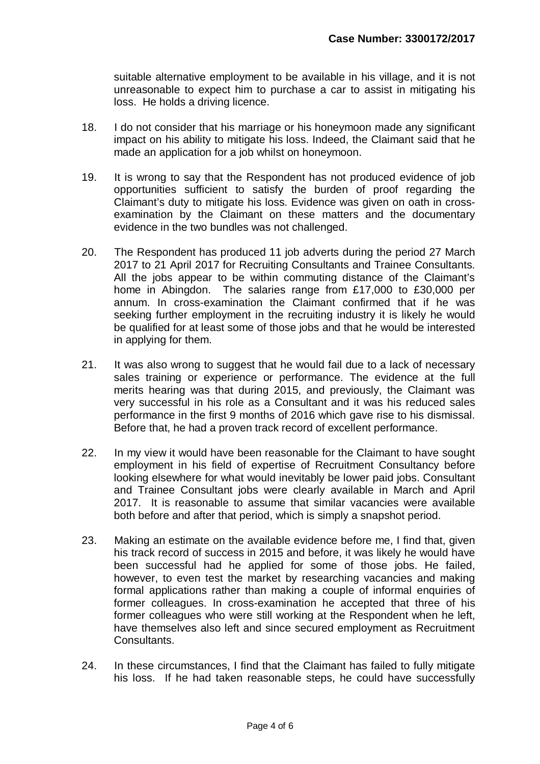suitable alternative employment to be available in his village, and it is not unreasonable to expect him to purchase a car to assist in mitigating his loss. He holds a driving licence.

- 18. I do not consider that his marriage or his honeymoon made any significant impact on his ability to mitigate his loss. Indeed, the Claimant said that he made an application for a job whilst on honeymoon.
- 19. It is wrong to say that the Respondent has not produced evidence of job opportunities sufficient to satisfy the burden of proof regarding the Claimant's duty to mitigate his loss. Evidence was given on oath in crossexamination by the Claimant on these matters and the documentary evidence in the two bundles was not challenged.
- 20. The Respondent has produced 11 job adverts during the period 27 March 2017 to 21 April 2017 for Recruiting Consultants and Trainee Consultants. All the jobs appear to be within commuting distance of the Claimant's home in Abingdon. The salaries range from £17,000 to £30,000 per annum. In cross-examination the Claimant confirmed that if he was seeking further employment in the recruiting industry it is likely he would be qualified for at least some of those jobs and that he would be interested in applying for them.
- 21. It was also wrong to suggest that he would fail due to a lack of necessary sales training or experience or performance. The evidence at the full merits hearing was that during 2015, and previously, the Claimant was very successful in his role as a Consultant and it was his reduced sales performance in the first 9 months of 2016 which gave rise to his dismissal. Before that, he had a proven track record of excellent performance.
- 22. In my view it would have been reasonable for the Claimant to have sought employment in his field of expertise of Recruitment Consultancy before looking elsewhere for what would inevitably be lower paid jobs. Consultant and Trainee Consultant jobs were clearly available in March and April 2017. It is reasonable to assume that similar vacancies were available both before and after that period, which is simply a snapshot period.
- 23. Making an estimate on the available evidence before me, I find that, given his track record of success in 2015 and before, it was likely he would have been successful had he applied for some of those jobs. He failed, however, to even test the market by researching vacancies and making formal applications rather than making a couple of informal enquiries of former colleagues. In cross-examination he accepted that three of his former colleagues who were still working at the Respondent when he left, have themselves also left and since secured employment as Recruitment Consultants.
- 24. In these circumstances, I find that the Claimant has failed to fully mitigate his loss. If he had taken reasonable steps, he could have successfully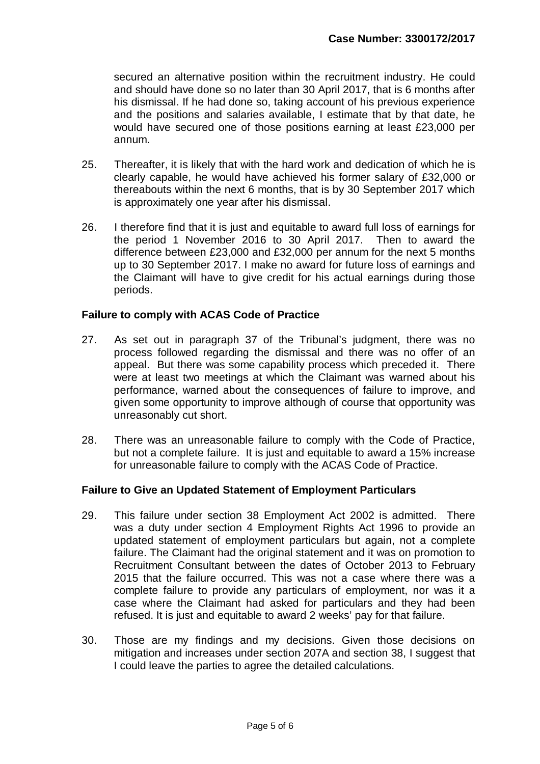secured an alternative position within the recruitment industry. He could and should have done so no later than 30 April 2017, that is 6 months after his dismissal. If he had done so, taking account of his previous experience and the positions and salaries available, I estimate that by that date, he would have secured one of those positions earning at least £23,000 per annum.

- 25. Thereafter, it is likely that with the hard work and dedication of which he is clearly capable, he would have achieved his former salary of £32,000 or thereabouts within the next 6 months, that is by 30 September 2017 which is approximately one year after his dismissal.
- 26. I therefore find that it is just and equitable to award full loss of earnings for the period 1 November 2016 to 30 April 2017. Then to award the difference between £23,000 and £32,000 per annum for the next 5 months up to 30 September 2017. I make no award for future loss of earnings and the Claimant will have to give credit for his actual earnings during those periods.

# **Failure to comply with ACAS Code of Practice**

- 27. As set out in paragraph 37 of the Tribunal's judgment, there was no process followed regarding the dismissal and there was no offer of an appeal. But there was some capability process which preceded it. There were at least two meetings at which the Claimant was warned about his performance, warned about the consequences of failure to improve, and given some opportunity to improve although of course that opportunity was unreasonably cut short.
- 28. There was an unreasonable failure to comply with the Code of Practice, but not a complete failure. It is just and equitable to award a 15% increase for unreasonable failure to comply with the ACAS Code of Practice.

# **Failure to Give an Updated Statement of Employment Particulars**

- 29. This failure under section 38 Employment Act 2002 is admitted. There was a duty under section 4 Employment Rights Act 1996 to provide an updated statement of employment particulars but again, not a complete failure. The Claimant had the original statement and it was on promotion to Recruitment Consultant between the dates of October 2013 to February 2015 that the failure occurred. This was not a case where there was a complete failure to provide any particulars of employment, nor was it a case where the Claimant had asked for particulars and they had been refused. It is just and equitable to award 2 weeks' pay for that failure.
- 30. Those are my findings and my decisions. Given those decisions on mitigation and increases under section 207A and section 38, I suggest that I could leave the parties to agree the detailed calculations.